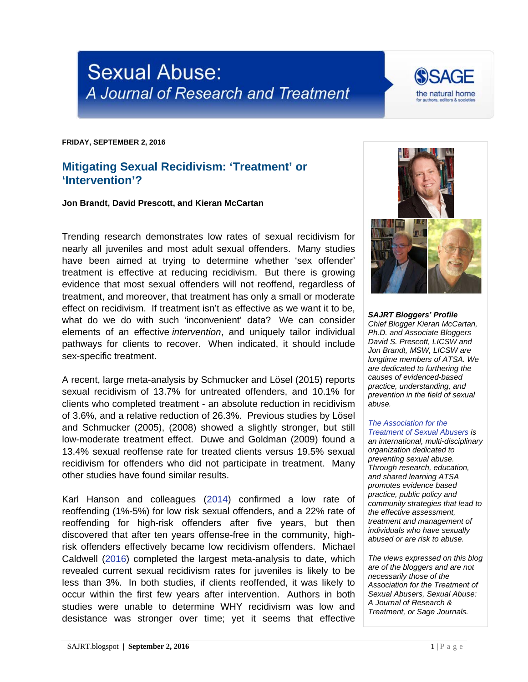

**FRIDAY, SEPTEMBER 2, 2016**

## **Mitigating Sexual Recidivism: 'Treatment' or 'Intervention'?**

**Jon Brandt, David Prescott, and Kieran McCartan**

Trending research demonstrates low rates of sexual recidivism for nearly all juveniles and most adult sexual offenders. Many studies have been aimed at trying to determine whether 'sex offender' treatment is effective at reducing recidivism. But there is growing evidence that most sexual offenders will not reoffend, regardless of treatment, and moreover, that treatment has only a small or moderate effect on recidivism. If treatment isn't as effective as we want it to be, what do we do with such 'inconvenient' data? We can consider elements of an effective *intervention*, and uniquely tailor individual pathways for clients to recover. When indicated, it should include sex-specific treatment.

A recent, large meta-analysis by Schmucker and Lösel (2015) reports sexual recidivism of 13.7% for untreated offenders, and 10.1% for clients who completed treatment - an absolute reduction in recidivism of 3.6%, and a relative reduction of 26.3%. Previous studies by Lösel and Schmucker (2005), (2008) showed a slightly stronger, but still low-moderate treatment effect. Duwe and Goldman (2009) found a 13.4% sexual reoffense rate for treated clients versus 19.5% sexual recidivism for offenders who did not participate in treatment. Many other studies have found similar results.

Karl Hanson and colleagues [\(2014\)](https://floridaactioncommittee.org/wp-content/uploads/2014/12/HighRiskOffenders_MayNotBeHighForever_Hanson_Harris_Helmus_Thornton.pdf) confirmed a low rate of reoffending (1%-5%) for low risk sexual offenders, and a 22% rate of reoffending for high-risk offenders after five years, but then discovered that after ten years offense-free in the community, highrisk offenders effectively became low recidivism offenders. Michael Caldwell [\(2016\)](http://sajrt.blogspot.com/2016/08/new-research-juvenile-sexual-recidivism.html) completed the largest meta-analysis to date, which revealed current sexual recidivism rates for juveniles is likely to be less than 3%. In both studies, if clients reoffended, it was likely to occur within the first few years after intervention. Authors in both studies were unable to determine WHY recidivism was low and desistance was stronger over time; yet it seems that effective



*SAJRT Bloggers' Profile Chief Blogger Kieran McCartan, Ph.D. and Associate Bloggers David S. Prescott, LICSW and Jon Brandt, MSW, LICSW are longtime members of ATSA. We are dedicated to furthering the causes of evidenced-based practice, understanding, and prevention in the field of sexual abuse.*

## *[The Association for the](http://atsa.com/)  [Treatment of Sexual Abusers](http://atsa.com/) is*

*an international, multi-disciplinary organization dedicated to preventing sexual abuse. Through research, education, and shared learning ATSA promotes evidence based practice, public policy and community strategies that lead to the effective assessment, treatment and management of individuals who have sexually abused or are risk to abuse.* 

*The views expressed on this blog are of the bloggers and are not necessarily those of the Association for the Treatment of Sexual Abusers, Sexual Abuse: A Journal of Research & Treatment, or Sage Journals.*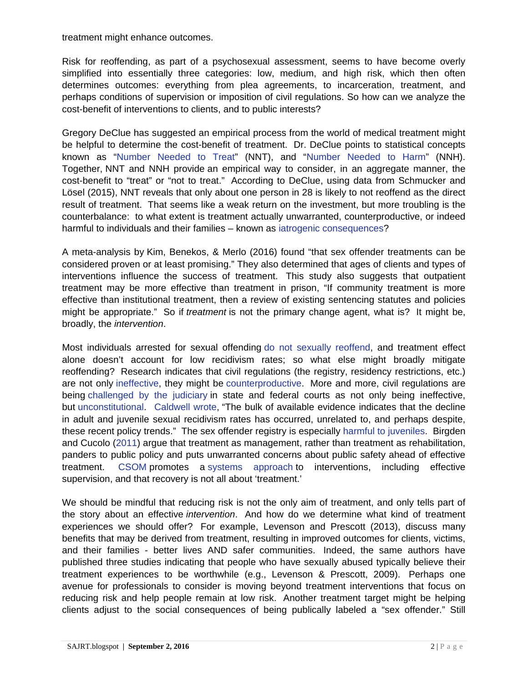treatment might enhance outcomes.

Risk for reoffending, as part of a psychosexual assessment, seems to have become overly simplified into essentially three categories: low, medium, and high risk, which then often determines outcomes: everything from plea agreements, to incarceration, treatment, and perhaps conditions of supervision or imposition of civil regulations. So how can we analyze the cost-benefit of interventions to clients, and to public interests?

Gregory DeClue has suggested an empirical process from the world of medical treatment might be helpful to determine the cost-benefit of treatment. Dr. DeClue points to statistical concepts known as ["Number Needed to Treat"](http://www.thennt.com/thennt-explained/) (NNT), and ["Number Needed to Harm"](http://www.nytimes.com/2015/02/03/upshot/how-to-measure-a-medical-treatments-potential-for-harm.html?rref=upshot) (NNH). Together, NNT and NNH provide an empirical way to consider, in an aggregate manner, the cost-benefit to "treat" or "not to treat." According to DeClue, using data from Schmucker and Lösel (2015), NNT reveals that only about one person in 28 is likely to not reoffend as the direct result of treatment. That seems like a weak return on the investment, but more troubling is the counterbalance: to what extent is treatment actually unwarranted, counterproductive, or indeed harmful to individuals and their families – known as [iatrogenic consequences?](https://en.wikipedia.org/wiki/Iatrogenesis)

A meta-analysis by Kim, Benekos, & Merlo (2016) found "that sex offender treatments can be considered proven or at least promising." They also determined that ages of clients and types of interventions influence the success of treatment. This study also suggests that outpatient treatment may be more effective than treatment in prison, "If community treatment is more effective than institutional treatment, then a review of existing sentencing statutes and policies might be appropriate." So if *treatment* is not the primary change agent, what is? It might be, broadly, the *intervention*.

Most individuals arrested for sexual offending [do not sexually reoffend,](http://www.ilvoices.com/media/ea99d28960ec776bffff84aeffffe415.pdf) and treatment effect alone doesn't account for low recidivism rates; so what else might broadly mitigate reoffending? Research indicates that civil regulations (the registry, residency restrictions, etc.) are not only [ineffective,](http://sajrt.blogspot.com/2016/08/new-research-juvenile-sexual-recidivism.html) they might be [counterproductive.](http://jsw.sagepub.com/content/early/2016/06/21/1468017316654811.abstract) More and more, civil regulations are being [challenged by the judiciary](http://nymag.com/daily/intelligencer/2016/08/judges-are-questioning-overzealous-sex-offender-laws.html) in state and federal courts as not only being ineffective, but [unconstitutional.](http://www.opn.ca6.uscourts.gov/opinions.pdf/16a0207p-06.pdf) [Caldwell wrote,](http://psycnet.apa.org/?&fa=main.doiLanding&doi=10.1037/law0000094) "The bulk of available evidence indicates that the decline in adult and juvenile sexual recidivism rates has occurred, unrelated to, and perhaps despite, these recent policy trends." The sex offender registry is especially [harmful to juveniles.](https://www.hrw.org/report/2013/05/01/raised-registry/irreparable-harm-placing-children-sex-offender-registries-us) Birgden and Cucolo [\(2011\)](http://www.csor-home.org/wp-content/uploads/2014/01/Treatment-of-SOs-Evidence-Ethics-and-Human-Rights-2011.pdf) argue that treatment as management, rather than treatment as rehabilitation, panders to public policy and puts unwarranted concerns about public safety ahead of effective treatment. [CSOM](http://www.csom.org/pubs/managing%20sex%20offenders-%20a%20toolkit%20for%20legislators.pdf) promotes a [systems approach](http://www.csom.org/pubs/managing%20sex%20offenders-%20a%20toolkit%20for%20legislators.pdf) to interventions, including effective supervision, and that recovery is not all about 'treatment.'

We should be mindful that reducing risk is not the only aim of treatment, and only tells part of the story about an effective *intervention*. And how do we determine what kind of treatment experiences we should offer? For example, Levenson and Prescott (2013), discuss many benefits that may be derived from treatment, resulting in improved outcomes for clients, victims, and their families - better lives AND safer communities. Indeed, the same authors have published three studies indicating that people who have sexually abused typically believe their treatment experiences to be worthwhile (e.g., Levenson & Prescott, 2009). Perhaps one avenue for professionals to consider is moving beyond treatment interventions that focus on reducing risk and help people remain at low risk. Another treatment target might be helping clients adjust to the social consequences of being publically labeled a "sex offender." Still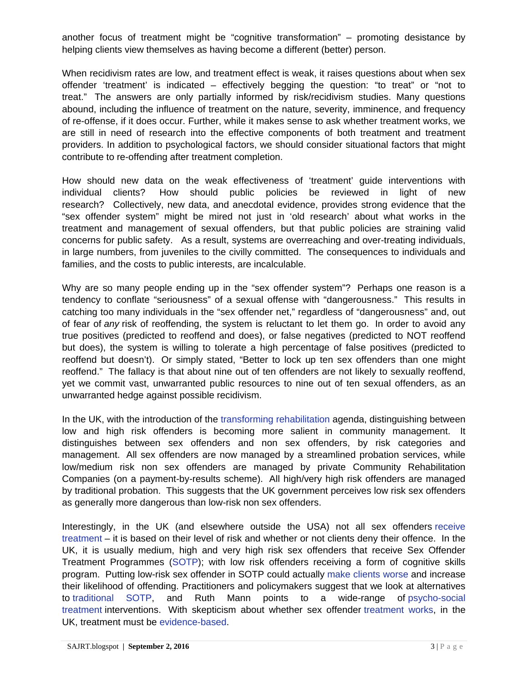another focus of treatment might be "cognitive transformation" – promoting desistance by helping clients view themselves as having become a different (better) person.

When recidivism rates are low, and treatment effect is weak, it raises questions about when sex offender 'treatment' is indicated – effectively begging the question: "to treat" or "not to treat." The answers are only partially informed by risk/recidivism studies. Many questions abound, including the influence of treatment on the nature, severity, imminence, and frequency of re-offense, if it does occur. Further, while it makes sense to ask whether treatment works, we are still in need of research into the effective components of both treatment and treatment providers. In addition to psychological factors, we should consider situational factors that might contribute to re-offending after treatment completion.

How should new data on the weak effectiveness of 'treatment' guide interventions with individual clients? How should public policies be reviewed in light of new research? Collectively, new data, and anecdotal evidence, provides strong evidence that the "sex offender system" might be mired not just in 'old research' about what works in the treatment and management of sexual offenders, but that public policies are straining valid concerns for public safety. As a result, systems are overreaching and over-treating individuals, in large numbers, from juveniles to the civilly committed. The consequences to individuals and families, and the costs to public interests, are incalculable.

Why are so many people ending up in the "sex offender system"? Perhaps one reason is a tendency to conflate "seriousness" of a sexual offense with "dangerousness." This results in catching too many individuals in the "sex offender net," regardless of "dangerousness" and, out of fear of *any* risk of reoffending, the system is reluctant to let them go. In order to avoid any true positives (predicted to reoffend and does), or false negatives (predicted to NOT reoffend but does), the system is willing to tolerate a high percentage of false positives (predicted to reoffend but doesn't). Or simply stated, "Better to lock up ten sex offenders than one might reoffend." The fallacy is that about nine out of ten offenders are not likely to sexually reoffend, yet we commit vast, unwarranted public resources to nine out of ten sexual offenders, as an unwarranted hedge against possible recidivism.

In the UK, with the introduction of the [transforming rehabilitation](https://www.gov.uk/government/publications/2010-to-2015-government-policy-reoffending-and-rehabilitation/2010-to-2015-government-policy-reoffending-and-rehabilitation) agenda, distinguishing between low and high risk offenders is becoming more salient in community management. It distinguishes between sex offenders and non sex offenders, by risk categories and management. All sex offenders are now managed by a streamlined probation services, while low/medium risk non sex offenders are managed by private Community Rehabilitation Companies (on a payment-by-results scheme). All high/very high risk offenders are managed by traditional probation. This suggests that the UK government perceives low risk sex offenders as generally more dangerous than low-risk non sex offenders.

Interestingly, in the UK (and elsewhere outside the USA) not all sex offenders [receive](http://www.bbc.com/news/uk-26078124)  [treatment](http://www.bbc.com/news/uk-26078124) – it is based on their level of risk and whether or not clients deny their offence. In the UK, it is usually medium, high and very high risk sex offenders that receive Sex Offender Treatment Programmes [\(SOTP\)](http://www.lucyfaithfull.org.uk/files/ECSA_project_core_sotp.pdf); with low risk offenders receiving a form of cognitive skills program. Putting low-risk sex offender in SOTP could actually [make clients worse](https://www.swmcrc.co.uk/wp-content/uploads/2010/06/what-works-sex-offender-treatment.pdf) and increase their likelihood of offending. Practitioners and policymakers suggest that we look at alternatives to [traditional SOTP,](https://www.swmcrc.co.uk/wp-content/uploads/2010/06/what-works-sex-offender-treatment.pdf) and Ruth Mann points to a wide-range of [psycho-social](http://www2.uwe.ac.uk/faculties/HLS/research/Documents/Mann-keynote-december-2014.pdf)  [treatment](http://www2.uwe.ac.uk/faculties/HLS/research/Documents/Mann-keynote-december-2014.pdf) interventions. With skepticism about whether sex offender [treatment works,](http://www.ibtimes.co.uk/can-we-judge-whether-convicted-sex-offender-will-reoffend-1485611) in the UK, treatment must be [evidence-based.](http://www2.uwe.ac.uk/faculties/HLS/research/Documents/Mann-keynote-december-2014.pdf)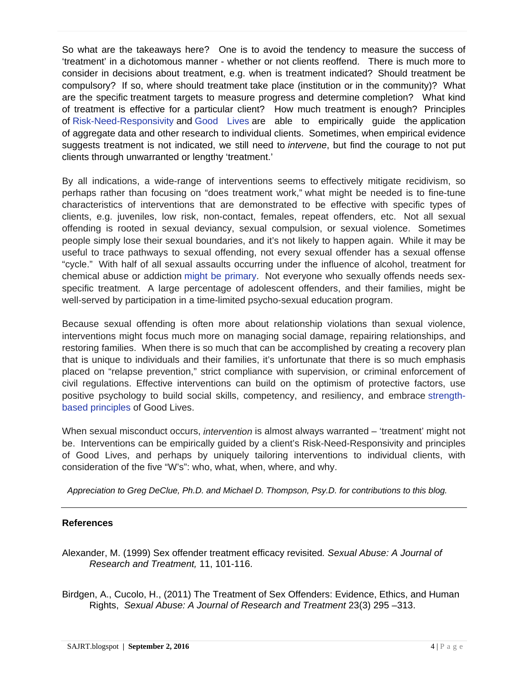So what are the takeaways here? One is to avoid the tendency to measure the success of 'treatment' in a dichotomous manner - whether or not clients reoffend. There is much more to consider in decisions about treatment, e.g. when is treatment indicated? Should treatment be compulsory? If so, where should treatment take place (institution or in the community)? What are the specific treatment targets to measure progress and determine completion? What kind of treatment is effective for a particular client? How much treatment is enough? Principles of [Risk-Need-Responsivity](http://www.publicsafety.gc.ca/cnt/rsrcs/pblctns/rsk-nd-rspnsvty/index-eng.aspx) and [Good Lives](http://www.goodlivesmodel.com/) are able to empirically guide the application of aggregate data and other research to individual clients. Sometimes, when empirical evidence suggests treatment is not indicated, we still need to *intervene*, but find the courage to not put clients through unwarranted or lengthy 'treatment.'

By all indications, a wide-range of interventions seems to effectively mitigate recidivism, so perhaps rather than focusing on "does treatment work," what might be needed is to fine-tune characteristics of interventions that are demonstrated to be effective with specific types of clients, e.g. juveniles, low risk, non-contact, females, repeat offenders, etc. Not all sexual offending is rooted in sexual deviancy, sexual compulsion, or sexual violence. Sometimes people simply lose their sexual boundaries, and it's not likely to happen again. While it may be useful to trace pathways to sexual offending, not every sexual offender has a sexual offense "cycle." With half of all sexual assaults occurring under the influence of alcohol, treatment for chemical abuse or addiction [might be primary.](http://onlinelibrary.wiley.com/doi/10.1002/9781118980132.ch14/summary) Not everyone who sexually offends needs sexspecific treatment. A large percentage of adolescent offenders, and their families, might be well-served by participation in a time-limited psycho-sexual education program.

Because sexual offending is often more about relationship violations than sexual violence, interventions might focus much more on managing social damage, repairing relationships, and restoring families. When there is so much that can be accomplished by creating a recovery plan that is unique to individuals and their families, it's unfortunate that there is so much emphasis placed on "relapse prevention," strict compliance with supervision, or criminal enforcement of civil regulations. Effective interventions can build on the optimism of protective factors, use positive psychology to build social skills, competency, and resiliency, and embrace [strength](http://www.goodlivesmodel.com/)[based principles](http://www.goodlivesmodel.com/) of Good Lives.

When sexual misconduct occurs, *intervention* is almost always warranted – 'treatment' might not be. Interventions can be empirically guided by a client's Risk-Need-Responsivity and principles of Good Lives, and perhaps by uniquely tailoring interventions to individual clients, with consideration of the five "W's": who, what, when, where, and why.

*Appreciation to Greg DeClue, Ph.D. and Michael D. Thompson, Psy.D. for contributions to this blog.*

## **References**

- Alexander, M. (1999) Sex offender treatment efficacy revisited*. Sexual Abuse: A Journal of Research and Treatment,* 11, 101-116.
- Birdgen, A., Cucolo, H., (2011) The Treatment of Sex Offenders: Evidence, Ethics, and Human Rights, *Sexual Abuse: A Journal of Research and Treatment* 23(3) 295 –313.